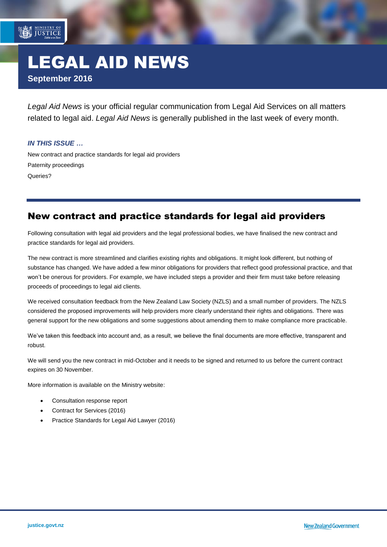# LEGAL AID NEWS **September 2016**

*Legal Aid News* is your official regular communication from Legal Aid Services on all matters related to legal aid. *Legal Aid News* is generally published in the last week of every month.

#### *IN THIS ISSUE …*

MINISTRY OF

<span id="page-0-0"></span>[New contract and practice standards for legal aid providers](#page-0-0) [Paternity proceedings](#page-0-1) [Queries?](#page-1-0)

### New contract and practice standards for legal aid providers

Following consultation with legal aid providers and the legal professional bodies, we have finalised the new contract and practice standards for legal aid providers.

The new contract is more streamlined and clarifies existing rights and obligations. It might look different, but nothing of substance has changed. We have added a few minor obligations for providers that reflect good professional practice, and that won't be onerous for providers. For example, we have included steps a provider and their firm must take before releasing proceeds of proceedings to legal aid clients.

We received consultation feedback from the New Zealand Law Society (NZLS) and a small number of providers. The NZLS considered the proposed improvements will help providers more clearly understand their rights and obligations. There was general support for the new obligations and some suggestions about amending them to make compliance more practicable.

We've taken this feedback into account and, as a result, we believe the final documents are more effective, transparent and robust.

We will send you the new contract in mid-October and it needs to be signed and returned to us before the current contract expires on 30 November.

More information is available on the Ministry website:

- [Consultation response report](http://www.justice.govt.nz/assets/Documents/Publications/External-consultation-response-report.pdf)
- [Contract for Services \(2016\)](http://www.justice.govt.nz/assets/Documents/Publications/Legal-Aid-Provider-Contract-for-Services2.pdf)
- <span id="page-0-1"></span>[Practice Standards for Legal Aid Lawyer \(2016\)](http://www.justice.govt.nz/assets/Documents/Publications/Legal-Aid-Practice-Standards.pdf)